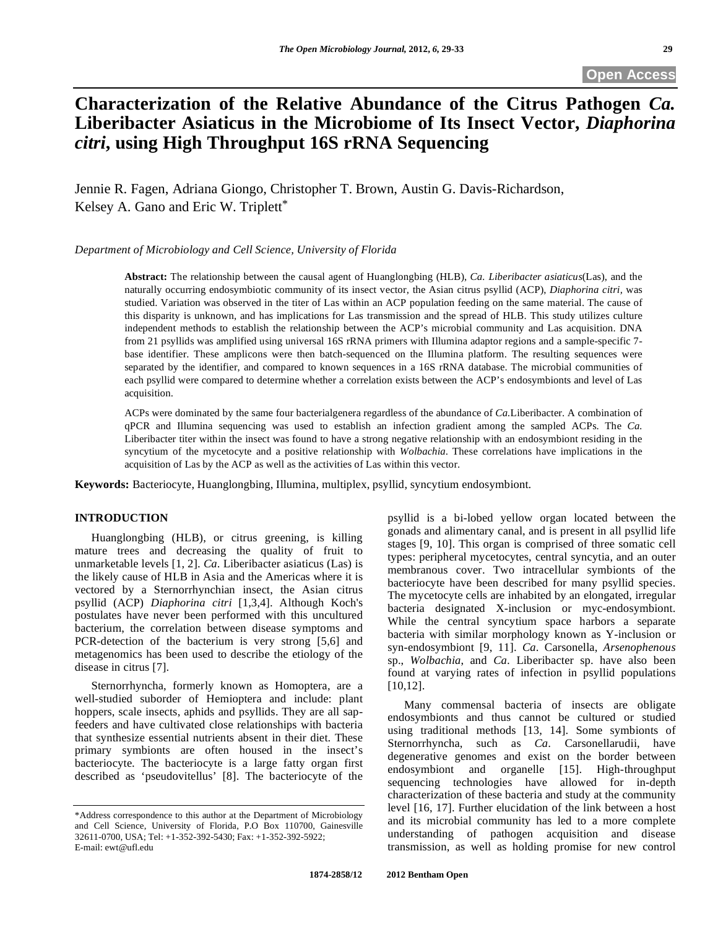# **Characterization of the Relative Abundance of the Citrus Pathogen** *Ca.*  **Liberibacter Asiaticus in the Microbiome of Its Insect Vector,** *Diaphorina citri***, using High Throughput 16S rRNA Sequencing**

Jennie R. Fagen, Adriana Giongo, Christopher T. Brown, Austin G. Davis-Richardson, Kelsey A. Gano and Eric W. Triplett<sup>\*</sup>

*Department of Microbiology and Cell Science, University of Florida* 

**Abstract:** The relationship between the causal agent of Huanglongbing (HLB), *Ca. Liberibacter asiaticus*(Las), and the naturally occurring endosymbiotic community of its insect vector, the Asian citrus psyllid (ACP), *Diaphorina citri,* was studied. Variation was observed in the titer of Las within an ACP population feeding on the same material. The cause of this disparity is unknown, and has implications for Las transmission and the spread of HLB. This study utilizes culture independent methods to establish the relationship between the ACP's microbial community and Las acquisition. DNA from 21 psyllids was amplified using universal 16S rRNA primers with Illumina adaptor regions and a sample-specific 7 base identifier. These amplicons were then batch-sequenced on the Illumina platform. The resulting sequences were separated by the identifier, and compared to known sequences in a 16S rRNA database. The microbial communities of each psyllid were compared to determine whether a correlation exists between the ACP's endosymbionts and level of Las acquisition.

ACPs were dominated by the same four bacterialgenera regardless of the abundance of *Ca.*Liberibacter. A combination of qPCR and Illumina sequencing was used to establish an infection gradient among the sampled ACPs. The *Ca.* Liberibacter titer within the insect was found to have a strong negative relationship with an endosymbiont residing in the syncytium of the mycetocyte and a positive relationship with *Wolbachia*. These correlations have implications in the acquisition of Las by the ACP as well as the activities of Las within this vector.

**Keywords:** Bacteriocyte, Huanglongbing, Illumina, multiplex, psyllid, syncytium endosymbiont.

# **INTRODUCTION**

Huanglongbing (HLB), or citrus greening, is killing mature trees and decreasing the quality of fruit to unmarketable levels [1, 2]. *Ca*. Liberibacter asiaticus (Las) is the likely cause of HLB in Asia and the Americas where it is vectored by a Sternorrhynchian insect, the Asian citrus psyllid (ACP) *Diaphorina citri* [1,3,4]. Although Koch's postulates have never been performed with this uncultured bacterium, the correlation between disease symptoms and PCR-detection of the bacterium is very strong [5,6] and metagenomics has been used to describe the etiology of the disease in citrus [7].

 Sternorrhyncha, formerly known as Homoptera, are a well-studied suborder of Hemioptera and include: plant hoppers, scale insects, aphids and psyllids. They are all sapfeeders and have cultivated close relationships with bacteria that synthesize essential nutrients absent in their diet. These primary symbionts are often housed in the insect's bacteriocyte. The bacteriocyte is a large fatty organ first described as 'pseudovitellus' [8]. The bacteriocyte of the

psyllid is a bi-lobed yellow organ located between the gonads and alimentary canal, and is present in all psyllid life stages [9, 10]. This organ is comprised of three somatic cell types: peripheral mycetocytes, central syncytia, and an outer membranous cover. Two intracellular symbionts of the bacteriocyte have been described for many psyllid species. The mycetocyte cells are inhabited by an elongated, irregular bacteria designated X-inclusion or myc-endosymbiont. While the central syncytium space harbors a separate bacteria with similar morphology known as Y-inclusion or syn-endosymbiont [9, 11]. *Ca*. Carsonella, *Arsenophenous* sp., *Wolbachia*, and *Ca.* Liberibacter sp. have also been found at varying rates of infection in psyllid populations [10,12].

 Many commensal bacteria of insects are obligate endosymbionts and thus cannot be cultured or studied using traditional methods [13, 14]. Some symbionts of Sternorrhyncha, such as *Ca.* Carsonellarudii, have degenerative genomes and exist on the border between endosymbiont and organelle [15]. High-throughput sequencing technologies have allowed for in-depth characterization of these bacteria and study at the community level [16, 17]. Further elucidation of the link between a host and its microbial community has led to a more complete understanding of pathogen acquisition and disease transmission, as well as holding promise for new control

<sup>\*</sup>Address correspondence to this author at the Department of Microbiology and Cell Science, University of Florida, P.O Box 110700, Gainesville 32611-0700, USA; Tel: +1-352-392-5430; Fax: +1-352-392-5922; E-mail: ewt@ufl.edu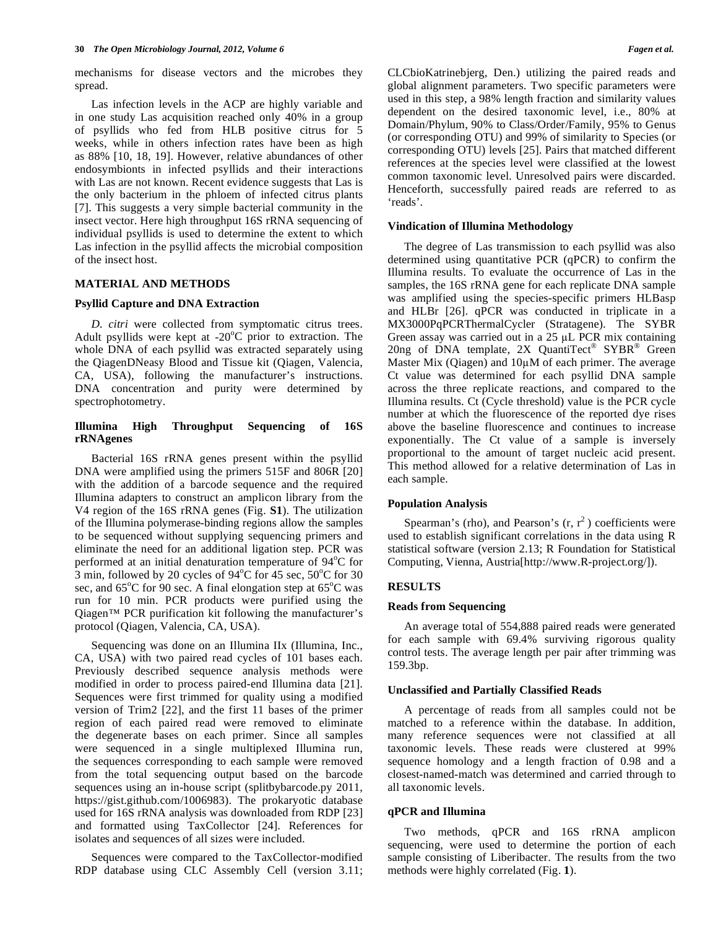mechanisms for disease vectors and the microbes they spread.

 Las infection levels in the ACP are highly variable and in one study Las acquisition reached only 40% in a group of psyllids who fed from HLB positive citrus for 5 weeks, while in others infection rates have been as high as 88% [10, 18, 19]. However, relative abundances of other endosymbionts in infected psyllids and their interactions with Las are not known. Recent evidence suggests that Las is the only bacterium in the phloem of infected citrus plants [7]. This suggests a very simple bacterial community in the insect vector. Here high throughput 16S rRNA sequencing of individual psyllids is used to determine the extent to which Las infection in the psyllid affects the microbial composition of the insect host.

#### **MATERIAL AND METHODS**

#### **Psyllid Capture and DNA Extraction**

 *D. citri* were collected from symptomatic citrus trees. Adult psyllids were kept at  $-20^{\circ}$ C prior to extraction. The whole DNA of each psyllid was extracted separately using the QiagenDNeasy Blood and Tissue kit (Qiagen, Valencia, CA, USA), following the manufacturer's instructions. DNA concentration and purity were determined by spectrophotometry.

## **Illumina High Throughput Sequencing of 16S rRNAgenes**

 Bacterial 16S rRNA genes present within the psyllid DNA were amplified using the primers 515F and 806R [20] with the addition of a barcode sequence and the required Illumina adapters to construct an amplicon library from the V4 region of the 16S rRNA genes (Fig. **S1**). The utilization of the Illumina polymerase-binding regions allow the samples to be sequenced without supplying sequencing primers and eliminate the need for an additional ligation step. PCR was performed at an initial denaturation temperature of 94°C for  $\overline{3}$  min, followed by 20 cycles of 94°C for 45 sec, 50°C for 30 sec, and  $65^{\circ}$ C for 90 sec. A final elongation step at  $65^{\circ}$ C was run for 10 min. PCR products were purified using the Qiagen™ PCR purification kit following the manufacturer's protocol (Qiagen, Valencia, CA, USA).

 Sequencing was done on an Illumina IIx (Illumina, Inc., CA, USA) with two paired read cycles of 101 bases each. Previously described sequence analysis methods were modified in order to process paired-end Illumina data [21]. Sequences were first trimmed for quality using a modified version of Trim2 [22], and the first 11 bases of the primer region of each paired read were removed to eliminate the degenerate bases on each primer. Since all samples were sequenced in a single multiplexed Illumina run, the sequences corresponding to each sample were removed from the total sequencing output based on the barcode sequences using an in-house script (splitbybarcode.py 2011, https://gist.github.com/1006983). The prokaryotic database used for 16S rRNA analysis was downloaded from RDP [23] and formatted using TaxCollector [24]. References for isolates and sequences of all sizes were included.

 Sequences were compared to the TaxCollector-modified RDP database using CLC Assembly Cell (version 3.11; CLCbioKatrinebjerg, Den.) utilizing the paired reads and global alignment parameters. Two specific parameters were used in this step, a 98% length fraction and similarity values dependent on the desired taxonomic level, i.e., 80% at Domain/Phylum, 90% to Class/Order/Family, 95% to Genus (or corresponding OTU) and 99% of similarity to Species (or corresponding OTU) levels [25]. Pairs that matched different references at the species level were classified at the lowest common taxonomic level. Unresolved pairs were discarded. Henceforth, successfully paired reads are referred to as 'reads'.

## **Vindication of Illumina Methodology**

 The degree of Las transmission to each psyllid was also determined using quantitative PCR (qPCR) to confirm the Illumina results. To evaluate the occurrence of Las in the samples, the 16S rRNA gene for each replicate DNA sample was amplified using the species-specific primers HLBasp and HLBr [26]. qPCR was conducted in triplicate in a MX3000PqPCRThermalCycler (Stratagene). The SYBR Green assay was carried out in a  $25 \mu L$  PCR mix containing 20ng of DNA template, 2X QuantiTect<sup>®</sup> SYBR<sup>®</sup> Green Master Mix (Qiagen) and  $10\mu$ M of each primer. The average Ct value was determined for each psyllid DNA sample across the three replicate reactions, and compared to the Illumina results. Ct (Cycle threshold) value is the PCR cycle number at which the fluorescence of the reported dye rises above the baseline fluorescence and continues to increase exponentially. The Ct value of a sample is inversely proportional to the amount of target nucleic acid present. This method allowed for a relative determination of Las in each sample.

#### **Population Analysis**

Spearman's (rho), and Pearson's  $(r, r^2)$  coefficients were used to establish significant correlations in the data using R statistical software (version 2.13; R Foundation for Statistical Computing, Vienna, Austria[http://www.R-project.org/]).

## **RESULTS**

### **Reads from Sequencing**

 An average total of 554,888 paired reads were generated for each sample with 69.4% surviving rigorous quality control tests. The average length per pair after trimming was 159.3bp.

#### **Unclassified and Partially Classified Reads**

 A percentage of reads from all samples could not be matched to a reference within the database. In addition, many reference sequences were not classified at all taxonomic levels. These reads were clustered at 99% sequence homology and a length fraction of 0.98 and a closest-named-match was determined and carried through to all taxonomic levels.

## **qPCR and Illumina**

 Two methods, qPCR and 16S rRNA amplicon sequencing, were used to determine the portion of each sample consisting of Liberibacter. The results from the two methods were highly correlated (Fig. **1**).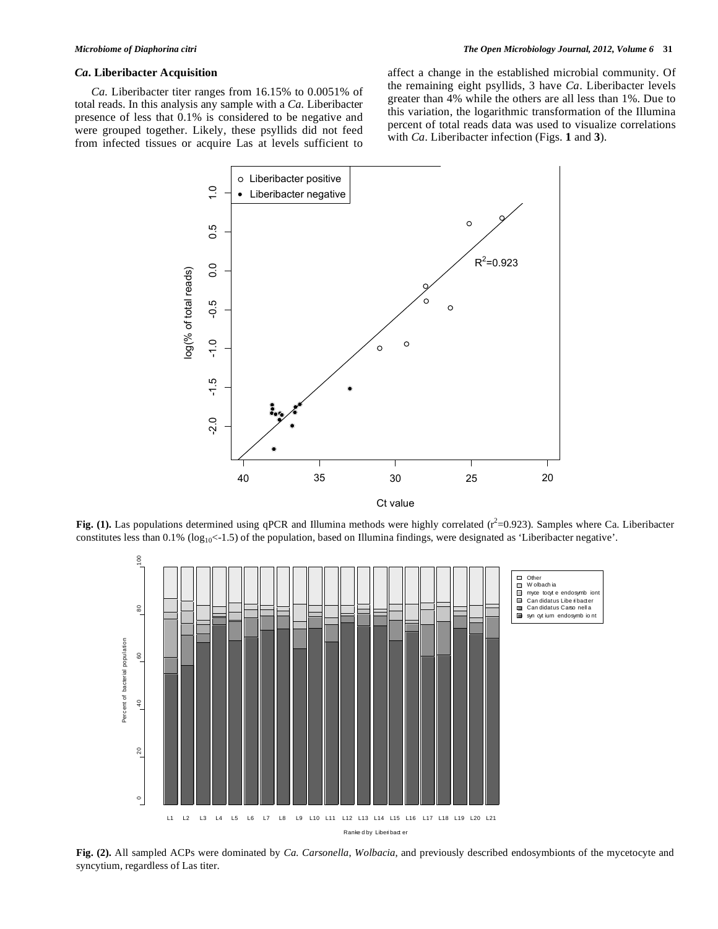### *Ca***. Liberibacter Acquisition**

 *Ca.* Liberibacter titer ranges from 16.15% to 0.0051% of total reads. In this analysis any sample with a *Ca.* Liberibacter presence of less that 0.1% is considered to be negative and were grouped together. Likely, these psyllids did not feed from infected tissues or acquire Las at levels sufficient to affect a change in the established microbial community. Of the remaining eight psyllids, 3 have *Ca*. Liberibacter levels greater than 4% while the others are all less than 1%. Due to this variation, the logarithmic transformation of the Illumina percent of total reads data was used to visualize correlations with *Ca.* Liberibacter infection (Figs. **1** and **3**).



Fig. (1). Las populations determined using qPCR and Illumina methods were highly correlated  $(r^2=0.923)$ . Samples where Ca. Liberibacter constitutes less than  $0.1\%$  (log<sub>10</sub> < -1.5) of the population, based on Illumina findings, were designated as 'Liberibacter negative'.



**Fig. (2).** All sampled ACPs were dominated by *Ca. Carsonella*, *Wolbacia*, and previously described endosymbionts of the mycetocyte and syncytium, regardless of Las titer.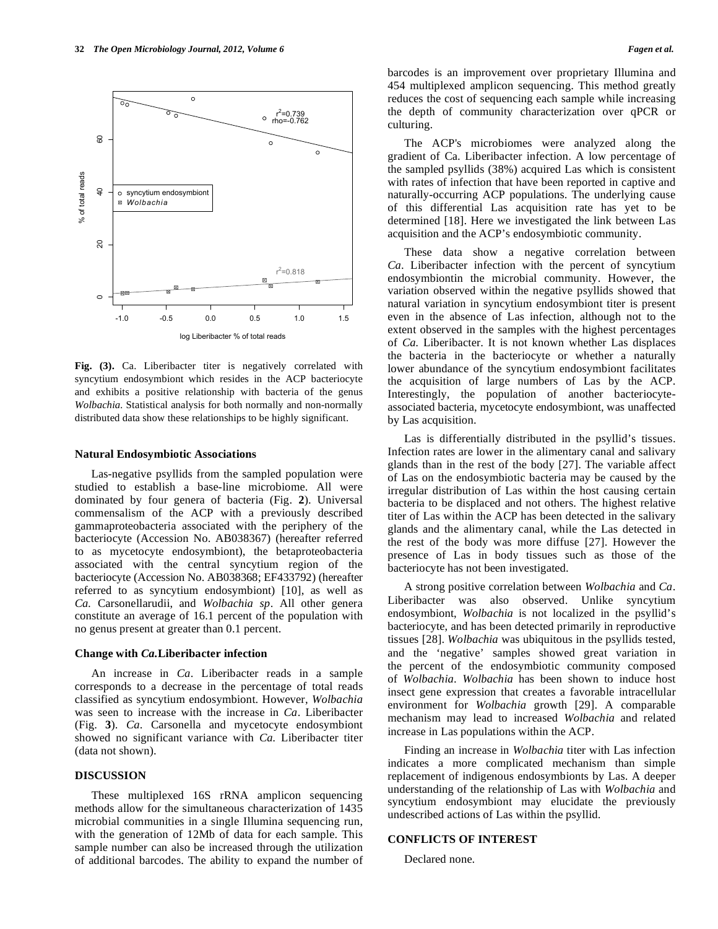

**Fig. (3).** Ca. Liberibacter titer is negatively correlated with syncytium endosymbiont which resides in the ACP bacteriocyte and exhibits a positive relationship with bacteria of the genus *Wolbachia.* Statistical analysis for both normally and non-normally distributed data show these relationships to be highly significant.

#### **Natural Endosymbiotic Associations**

 Las-negative psyllids from the sampled population were studied to establish a base-line microbiome. All were dominated by four genera of bacteria (Fig. **2**). Universal commensalism of the ACP with a previously described gammaproteobacteria associated with the periphery of the bacteriocyte (Accession No. AB038367) (hereafter referred to as mycetocyte endosymbiont), the betaproteobacteria associated with the central syncytium region of the bacteriocyte (Accession No. AB038368; EF433792) (hereafter referred to as syncytium endosymbiont) [10], as well as *Ca.* Carsonellarudii, and *Wolbachia sp*. All other genera constitute an average of 16.1 percent of the population with no genus present at greater than 0.1 percent.

#### **Change with** *Ca.***Liberibacter infection**

 An increase in *Ca*. Liberibacter reads in a sample corresponds to a decrease in the percentage of total reads classified as syncytium endosymbiont. However, *Wolbachia* was seen to increase with the increase in *Ca*. Liberibacter (Fig. **3**). *Ca*. Carsonella and mycetocyte endosymbiont showed no significant variance with *Ca.* Liberibacter titer (data not shown).

## **DISCUSSION**

 These multiplexed 16S rRNA amplicon sequencing methods allow for the simultaneous characterization of 1435 microbial communities in a single Illumina sequencing run, with the generation of 12Mb of data for each sample. This sample number can also be increased through the utilization of additional barcodes. The ability to expand the number of barcodes is an improvement over proprietary Illumina and 454 multiplexed amplicon sequencing. This method greatly reduces the cost of sequencing each sample while increasing the depth of community characterization over qPCR or culturing.

 The ACP's microbiomes were analyzed along the gradient of Ca. Liberibacter infection. A low percentage of the sampled psyllids (38%) acquired Las which is consistent with rates of infection that have been reported in captive and naturally-occurring ACP populations. The underlying cause of this differential Las acquisition rate has yet to be determined [18]. Here we investigated the link between Las acquisition and the ACP's endosymbiotic community.

 These data show a negative correlation between *Ca*. Liberibacter infection with the percent of syncytium endosymbiontin the microbial community. However, the variation observed within the negative psyllids showed that natural variation in syncytium endosymbiont titer is present even in the absence of Las infection, although not to the extent observed in the samples with the highest percentages of *Ca.* Liberibacter. It is not known whether Las displaces the bacteria in the bacteriocyte or whether a naturally lower abundance of the syncytium endosymbiont facilitates the acquisition of large numbers of Las by the ACP. Interestingly, the population of another bacteriocyteassociated bacteria, mycetocyte endosymbiont, was unaffected by Las acquisition.

 Las is differentially distributed in the psyllid's tissues. Infection rates are lower in the alimentary canal and salivary glands than in the rest of the body [27]. The variable affect of Las on the endosymbiotic bacteria may be caused by the irregular distribution of Las within the host causing certain bacteria to be displaced and not others. The highest relative titer of Las within the ACP has been detected in the salivary glands and the alimentary canal, while the Las detected in the rest of the body was more diffuse [27]. However the presence of Las in body tissues such as those of the bacteriocyte has not been investigated.

 A strong positive correlation between *Wolbachia* and *Ca*. Liberibacter was also observed. Unlike syncytium endosymbiont, *Wolbachia* is not localized in the psyllid's bacteriocyte, and has been detected primarily in reproductive tissues [28]. *Wolbachia* was ubiquitous in the psyllids tested, and the 'negative' samples showed great variation in the percent of the endosymbiotic community composed of *Wolbachia*. *Wolbachia* has been shown to induce host insect gene expression that creates a favorable intracellular environment for *Wolbachia* growth [29]. A comparable mechanism may lead to increased *Wolbachia* and related increase in Las populations within the ACP.

 Finding an increase in *Wolbachia* titer with Las infection indicates a more complicated mechanism than simple replacement of indigenous endosymbionts by Las. A deeper understanding of the relationship of Las with *Wolbachia* and syncytium endosymbiont may elucidate the previously undescribed actions of Las within the psyllid.

## **CONFLICTS OF INTEREST**

Declared none.